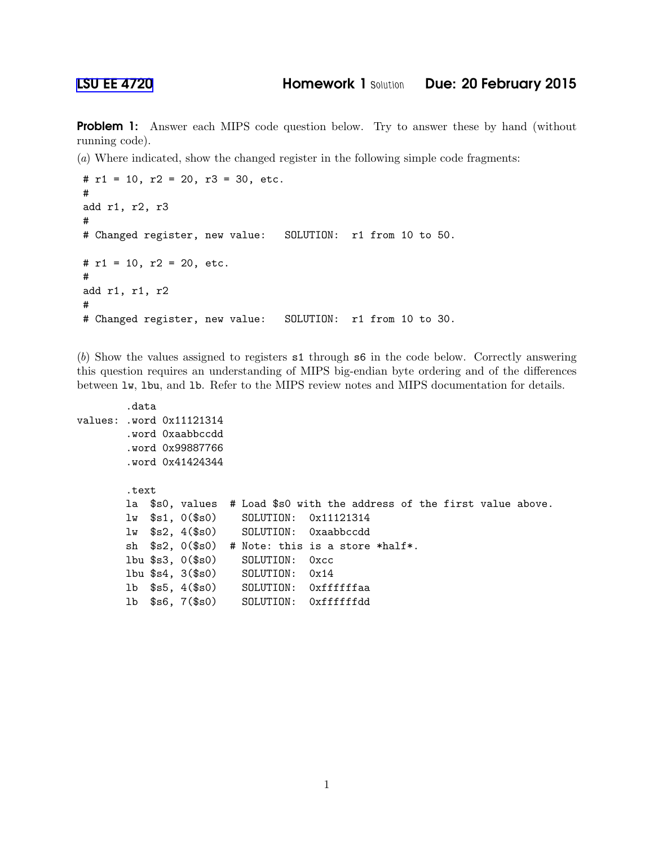Problem 1: Answer each MIPS code question below. Try to answer these by hand (without running code).

(*a*) Where indicated, show the changed register in the following simple code fragments:

```
# r1 = 10, r2 = 20, r3 = 30, etc.
#
add r1, r2, r3
#
# Changed register, new value: SOLUTION: r1 from 10 to 50.
# r1 = 10, r2 = 20, etc.
#
add r1, r1, r2
#
# Changed register, new value: SOLUTION: r1 from 10 to 30.
```
(*b*) Show the values assigned to registers s1 through s6 in the code below. Correctly answering this question requires an understanding of MIPS big-endian byte ordering and of the differences between lw, lbu, and lb. Refer to the MIPS review notes and MIPS documentation for details.

```
.data
values: .word 0x11121314
       .word 0xaabbccdd
       .word 0x99887766
       .word 0x41424344
       .text
       la $s0, values # Load $s0 with the address of the first value above.
       lw $s1, 0($s0) SOLUTION: 0x11121314
       lw $s2, 4($s0) SOLUTION: 0xaabbccdd
       sh $s2, 0($s0) # Note: this is a store *half*.
       lbu $s3, 0($s0) SOLUTION: 0xcc
       lbu $s4, 3($s0) SOLUTION: 0x14
       lb $s5, 4($s0) SOLUTION: 0xffffffaa
       lb $s6, 7($s0) SOLUTION: 0xffffffdd
```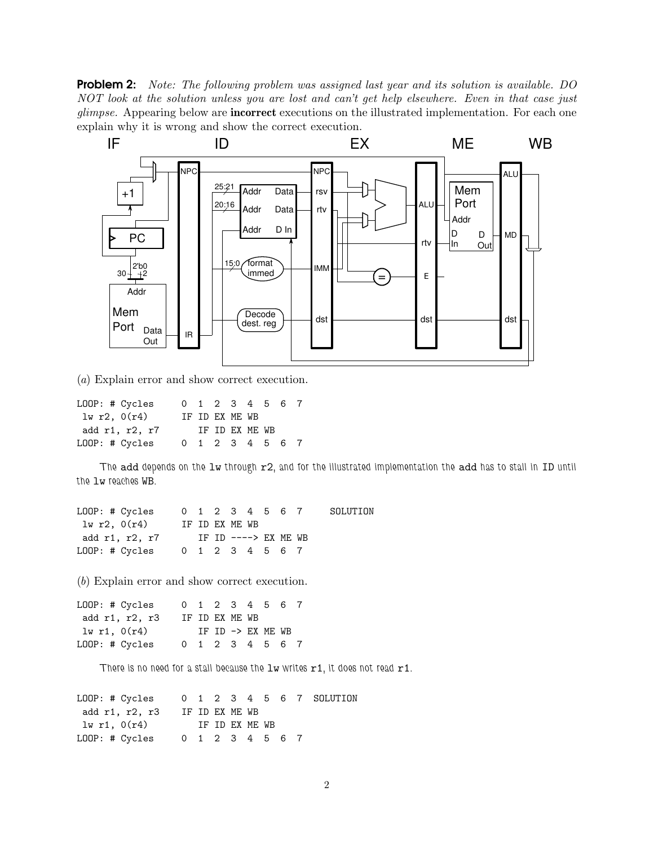Problem 2: *Note: The following problem was assigned last year and its solution is available. DO NOT look at the solution unless you are lost and can't get help elsewhere. Even in that case just glimpse.* Appearing below are incorrect executions on the illustrated implementation. For each one explain why it is wrong and show the correct execution.



(*a*) Explain error and show correct execution.

| LOOP: # Cycles |  |                | 0 1 2 3 4 5 6 7 |  |  |
|----------------|--|----------------|-----------------|--|--|
| 1w r2, 0(r4)   |  | IF ID EX ME WB |                 |  |  |
| add r1, r2, r7 |  |                | TF TD FX MF WB  |  |  |
| LOOP: # Cycles |  |                | 0 1 2 3 4 5 6 7 |  |  |

*The* add *depends on the* lw *through* r2*, and for the illustrated implementation the* add *has to stall in* ID *until the* lw *reaches* WB*.*

| LOOP: # Cycles                 |                      |  |                |  | 0 1 2 3 4 5 6 7 | SOLUTION |
|--------------------------------|----------------------|--|----------------|--|-----------------|----------|
| lw r2, 0(r4)                   |                      |  | IF ID EX ME WB |  |                 |          |
| add r1, r2, r7                 | IF ID ----> EX ME WB |  |                |  |                 |          |
| LOOP: # Cycles 0 1 2 3 4 5 6 7 |                      |  |                |  |                 |          |

(*b*) Explain error and show correct execution.

| LOOP: # Cycles |  |                | 0 1 2 3 4 5 6 7   |  |
|----------------|--|----------------|-------------------|--|
| add r1, r2, r3 |  | IF ID EX ME WB |                   |  |
| lw r1, 0(r4)   |  |                | IF ID -> EX ME WB |  |
| LOOP: # Cycles |  |                | 0 1 2 3 4 5 6 7   |  |

*There is no need for a stall because the* lw *writes* r1*, it does not read* r1*.*

| LOOP: # Cycles 0 1 2 3 4 5 6 7 SOLUTION |                |  |  |  |  |
|-----------------------------------------|----------------|--|--|--|--|
| add r1, r2, r3                          | IF ID EX ME WB |  |  |  |  |
| lw r1, 0(r4)<br>IF ID EX ME WB          |                |  |  |  |  |
| LOOP: # Cycles 0 1 2 3 4 5 6 7          |                |  |  |  |  |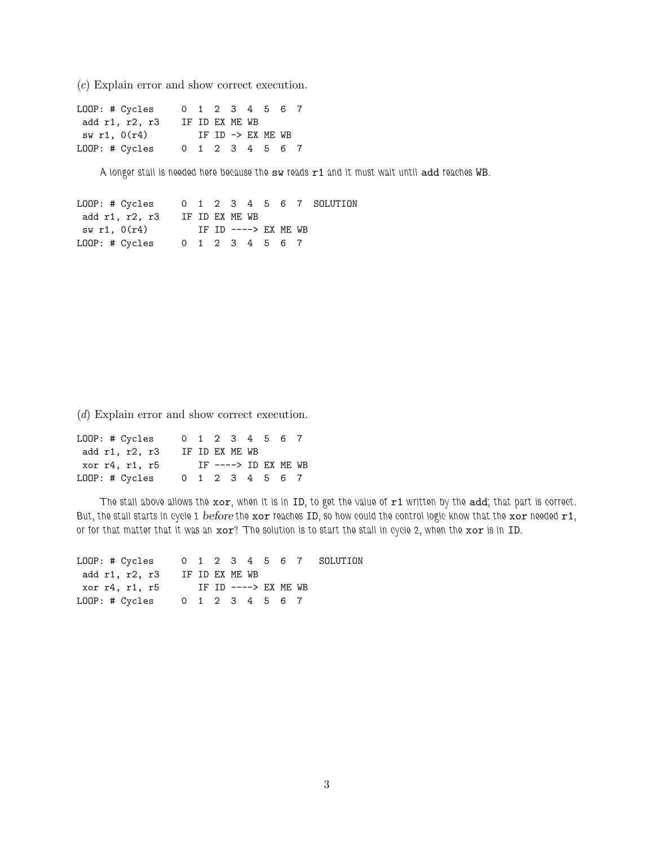(*c*) Explain error and show correct execution.

| LOOP: # Cycles |  |                |  | 0 1 2 3 4 5 6 7   |  |
|----------------|--|----------------|--|-------------------|--|
| add r1, r2, r3 |  | IF ID EX ME WB |  |                   |  |
| sw r1, $0(r4)$ |  |                |  | IF ID -> EX ME WB |  |
| LOOP: # Cycles |  |                |  | 0 1 2 3 4 5 6 7   |  |

*A longer stall is needed here because the* sw *reads* r1 *and it must wait until* add *reaches* WB*.*

LOOP: # Cycles 0 1 2 3 4 5 6 7 SOLUTION add r1, r2, r3 IF ID EX ME WB sw r1, 0(r4) IF ID ----> EX ME WB LOOP: # Cycles 0 1 2 3 4 5 6 7

(*d*) Explain error and show correct execution.

| LOOP: # Cycles |                |  |                       | 0 1 2 3 4 5 6 7 |  |
|----------------|----------------|--|-----------------------|-----------------|--|
| add r1, r2, r3 | IF ID EX ME WB |  |                       |                 |  |
|                |                |  | IF $--->$ ID EX ME WB |                 |  |
| xor r4, r1, r5 |                |  |                       |                 |  |

*The stall above allows the* xor*, when it is in* ID*, to get the value of* r1 *written by the* add*; that part is correct. But, the stall starts in cycle 1* before *the* xor *reaches* ID*, so how could the control logic know that the* xor *needed* r1*, or for that matter that it was an* xor*? The solution is to start the stall in cycle 2, when the* xor *is in* ID*.*

| $LOOP: # Cycles$ 0 1 2 3 4 5 6 7 SOLUTION |  |  |                      |  |  |
|-------------------------------------------|--|--|----------------------|--|--|
| add r1, r2, r3 IF ID EX ME WB             |  |  |                      |  |  |
| xor r4, r1, r5                            |  |  | IF ID ----> EX ME WB |  |  |
| LOOP: # Cycles 0 1 2 3 4 5 6 7            |  |  |                      |  |  |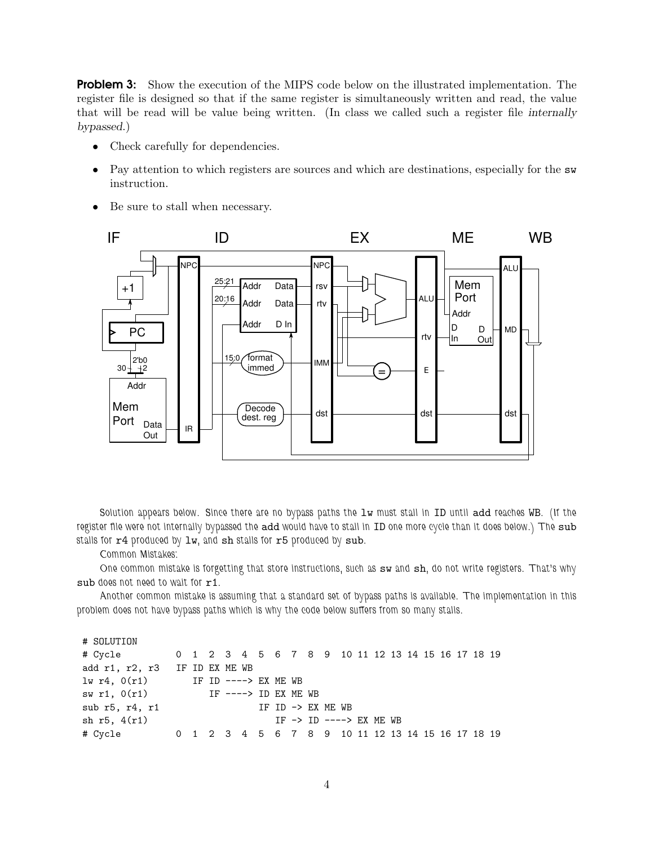**Problem 3:** Show the execution of the MIPS code below on the illustrated implementation. The register file is designed so that if the same register is simultaneously written and read, the value that will be read will be value being written. (In class we called such a register file internally bypassed.)

- Check carefully for dependencies.
- Pay attention to which registers are sources and which are destinations, especially for the  $\mathbf{sw}$ instruction.
- Be sure to stall when necessary.



*Solution appears below. Since there are no bypass paths the* lw *must stall in* ID *until* add *reaches* WB*. (If the register file were not internally bypassed the* add *would have to stall in* ID *one more cycle than it does below.) The* sub *stalls for*  $r4$  *produced by*  $1w$ , and  $sh$  *stalls for*  $r5$  *produced by*  $sub.$ 

*Common Mistakes:*

*One common mistake is forgetting that store instructions, such as* sw *and* sh*, do not write registers. That's why* sub *does not need to wait for* r1*.*

*Another common mistake is assuming that a standard set of bypass paths is available. The implementation in this problem does not have bypass paths which is why the code below suffers from so many stalls.*

```
# SOLUTION
```

| # Cycle 0 1 2 3 4 5 6 7 8 9 10 11 12 13 14 15 16 17 18 19 |  |  |                   |  |  |                                                 |  |  |  |  |  |
|-----------------------------------------------------------|--|--|-------------------|--|--|-------------------------------------------------|--|--|--|--|--|
| add r1, r2, r3 IF ID EX ME WB                             |  |  |                   |  |  |                                                 |  |  |  |  |  |
| $1w r4$ , $0(r1)$ IF ID ----> EX ME WB                    |  |  |                   |  |  |                                                 |  |  |  |  |  |
| sw r1, $0(r1)$ IF ----> ID EX ME WB                       |  |  |                   |  |  |                                                 |  |  |  |  |  |
| sub $r5$ , $r4$ , $r1$                                    |  |  | IF ID -> EX ME WB |  |  |                                                 |  |  |  |  |  |
| sh $r5, 4(r1)$                                            |  |  |                   |  |  | IF $\rightarrow$ ID $\rightarrow$ ---> EX ME WB |  |  |  |  |  |
| # Cycle 0 1 2 3 4 5 6 7 8 9 10 11 12 13 14 15 16 17 18 19 |  |  |                   |  |  |                                                 |  |  |  |  |  |